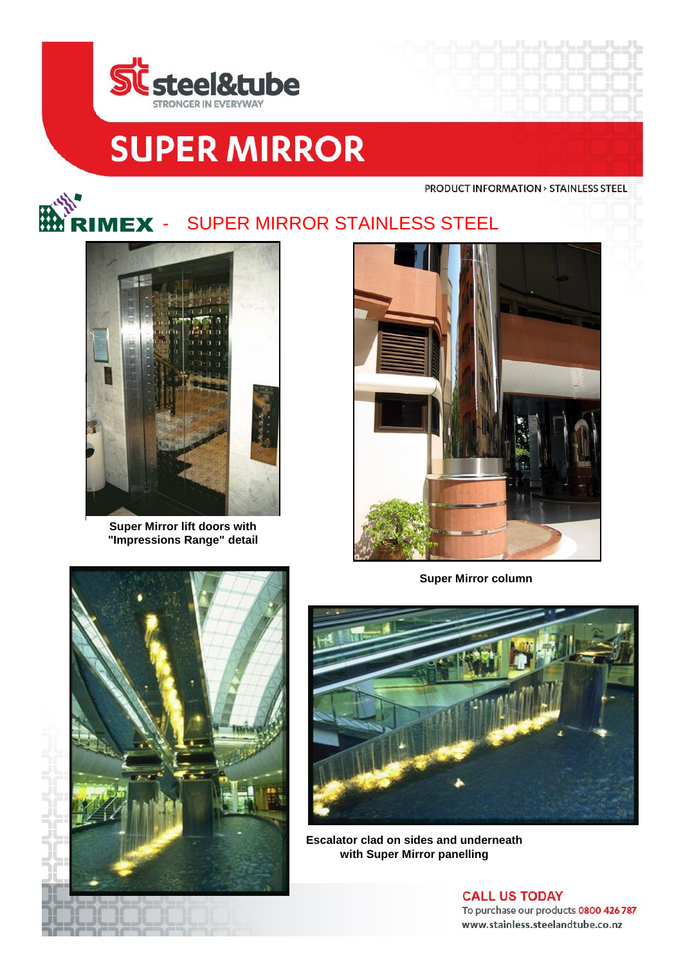

## **SUPER MIRROR**

**PRODUCT INFORMATION > STAINLESS STEEL** 



**Super Mirror lift doors with "Impressions Range" detail**



**Super Mirror column**





**Escalator clad on sides and underneath with Super Mirror panelling**

**CALL US TODAY** To purchase our products 0800 426 787 www.stainless.steelandtube.co.nz